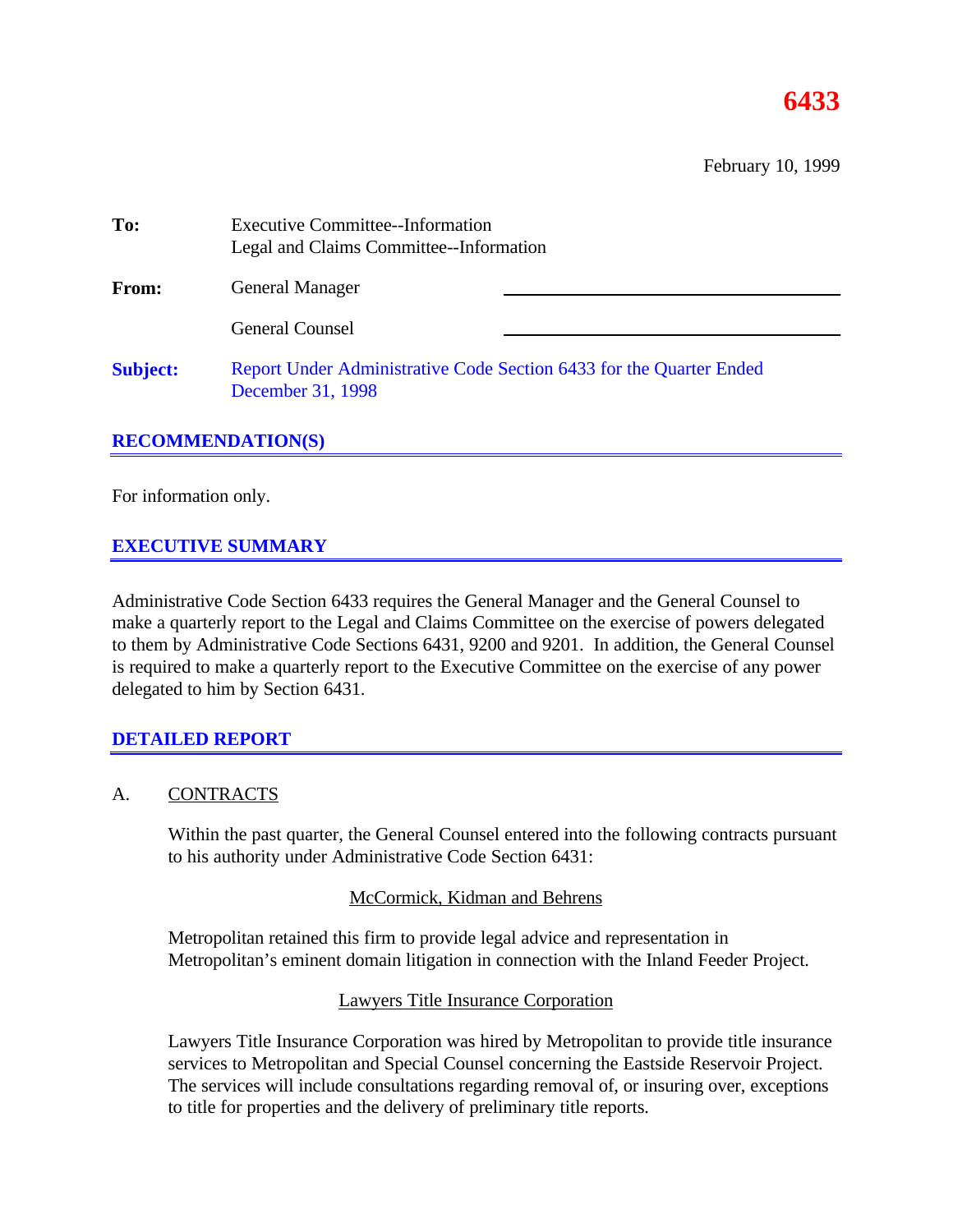# **6433**

February 10, 1999

| To:             | <b>Executive Committee--Information</b><br>Legal and Claims Committee--Information       |  |  |  |
|-----------------|------------------------------------------------------------------------------------------|--|--|--|
| From:           | <b>General Manager</b>                                                                   |  |  |  |
|                 | <b>General Counsel</b>                                                                   |  |  |  |
| <b>Subject:</b> | Report Under Administrative Code Section 6433 for the Quarter Ended<br>December 31, 1998 |  |  |  |

# **RECOMMENDATION(S)**

For information only.

# **EXECUTIVE SUMMARY**

Administrative Code Section 6433 requires the General Manager and the General Counsel to make a quarterly report to the Legal and Claims Committee on the exercise of powers delegated to them by Administrative Code Sections 6431, 9200 and 9201. In addition, the General Counsel is required to make a quarterly report to the Executive Committee on the exercise of any power delegated to him by Section 6431.

# **DETAILED REPORT**

### A. CONTRACTS

Within the past quarter, the General Counsel entered into the following contracts pursuant to his authority under Administrative Code Section 6431:

### McCormick, Kidman and Behrens

Metropolitan retained this firm to provide legal advice and representation in Metropolitan's eminent domain litigation in connection with the Inland Feeder Project.

### Lawyers Title Insurance Corporation

Lawyers Title Insurance Corporation was hired by Metropolitan to provide title insurance services to Metropolitan and Special Counsel concerning the Eastside Reservoir Project. The services will include consultations regarding removal of, or insuring over, exceptions to title for properties and the delivery of preliminary title reports.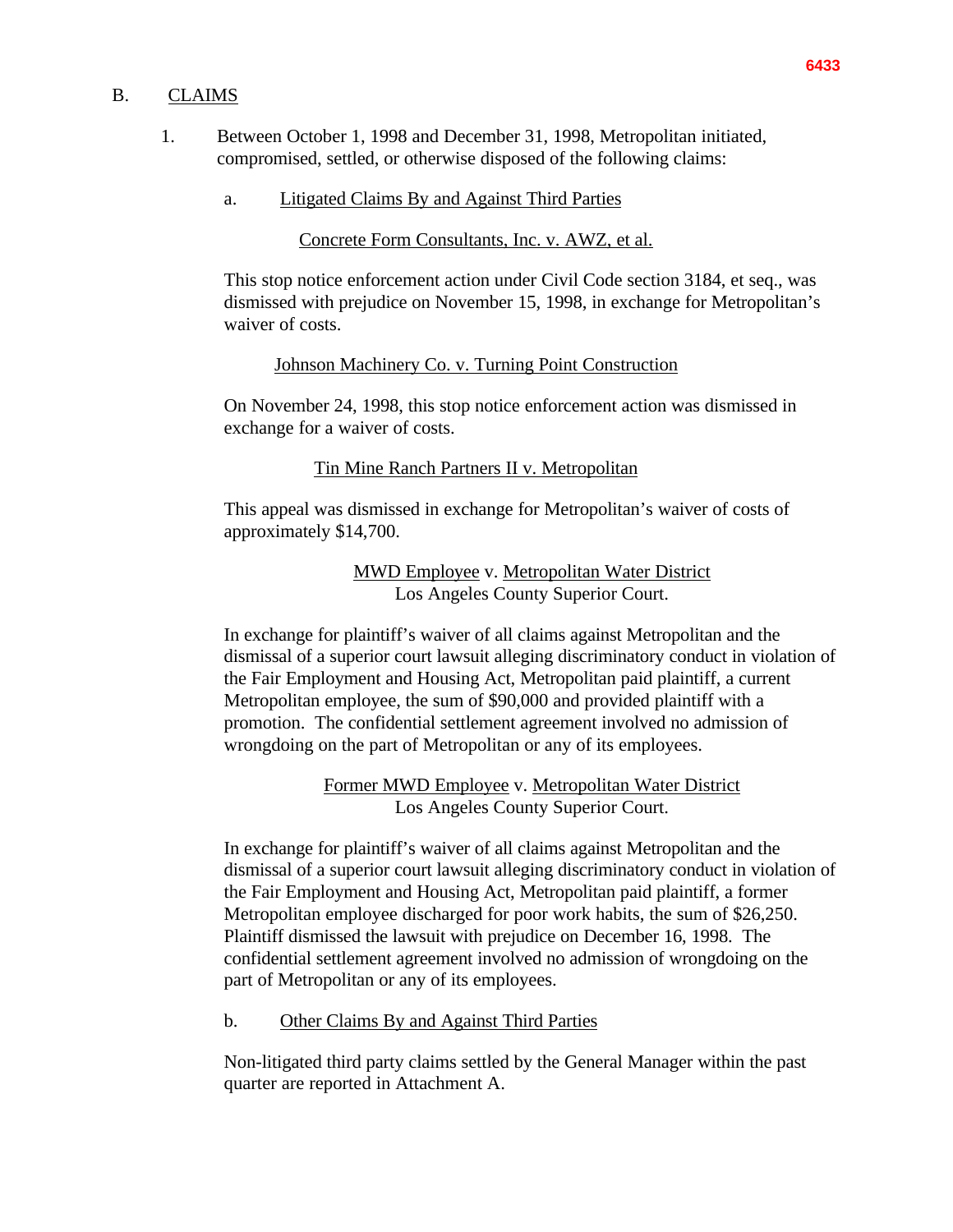#### B. CLAIMS

- 1. Between October 1, 1998 and December 31, 1998, Metropolitan initiated, compromised, settled, or otherwise disposed of the following claims:
	- a. Litigated Claims By and Against Third Parties

Concrete Form Consultants, Inc. v. AWZ, et al.

This stop notice enforcement action under Civil Code section 3184, et seq., was dismissed with prejudice on November 15, 1998, in exchange for Metropolitan's waiver of costs.

### Johnson Machinery Co. v. Turning Point Construction

On November 24, 1998, this stop notice enforcement action was dismissed in exchange for a waiver of costs.

### Tin Mine Ranch Partners II v. Metropolitan

This appeal was dismissed in exchange for Metropolitan's waiver of costs of approximately \$14,700.

> MWD Employee v. Metropolitan Water District Los Angeles County Superior Court.

In exchange for plaintiff's waiver of all claims against Metropolitan and the dismissal of a superior court lawsuit alleging discriminatory conduct in violation of the Fair Employment and Housing Act, Metropolitan paid plaintiff, a current Metropolitan employee, the sum of \$90,000 and provided plaintiff with a promotion. The confidential settlement agreement involved no admission of wrongdoing on the part of Metropolitan or any of its employees.

> Former MWD Employee v. Metropolitan Water District Los Angeles County Superior Court.

In exchange for plaintiff's waiver of all claims against Metropolitan and the dismissal of a superior court lawsuit alleging discriminatory conduct in violation of the Fair Employment and Housing Act, Metropolitan paid plaintiff, a former Metropolitan employee discharged for poor work habits, the sum of \$26,250. Plaintiff dismissed the lawsuit with prejudice on December 16, 1998. The confidential settlement agreement involved no admission of wrongdoing on the part of Metropolitan or any of its employees.

b. Other Claims By and Against Third Parties

Non-litigated third party claims settled by the General Manager within the past quarter are reported in Attachment A.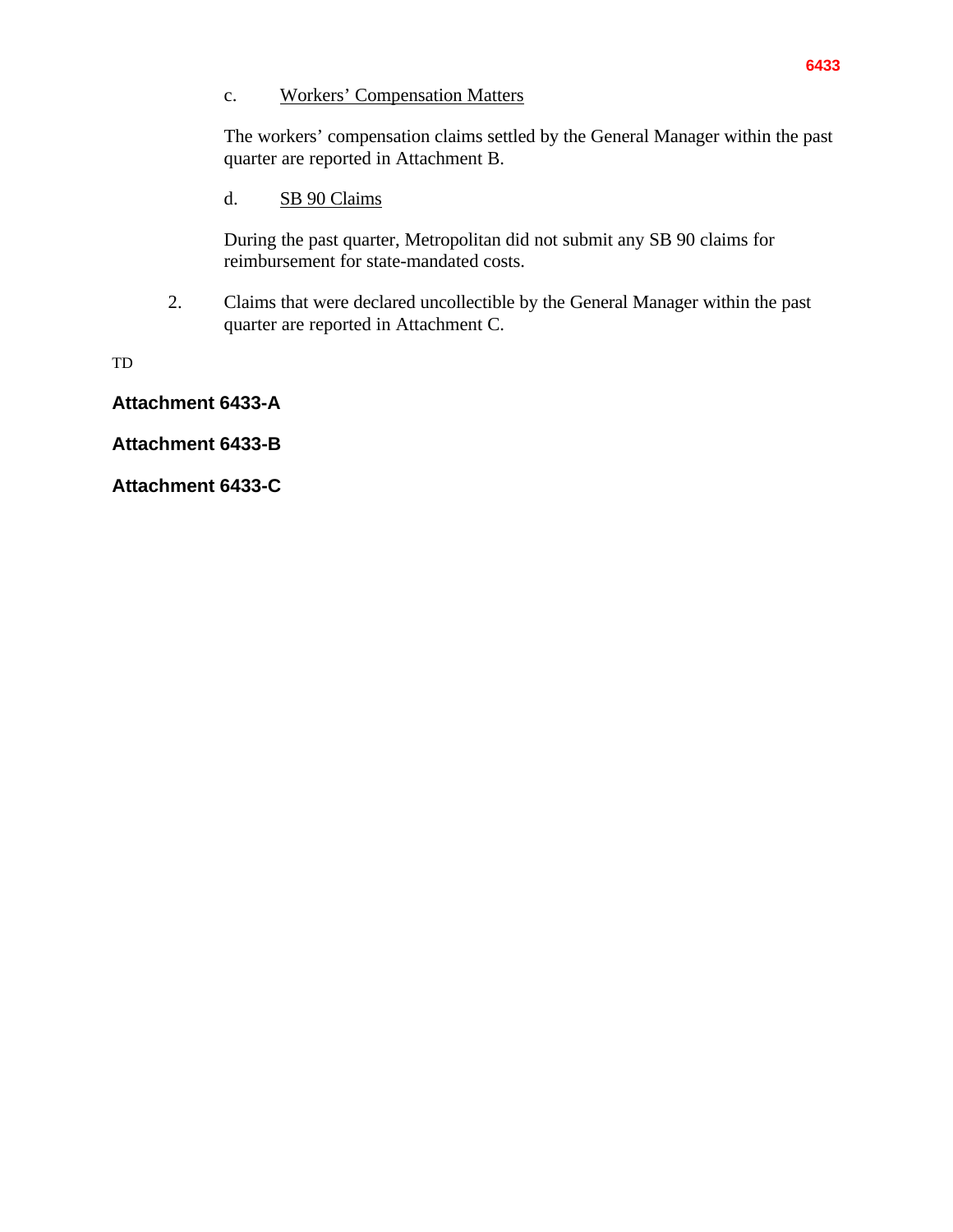### c. Workers' Compensation Matters

The workers' compensation claims settled by the General Manager within the past quarter are reported in Attachment B.

# d. SB 90 Claims

During the past quarter, Metropolitan did not submit any SB 90 claims for reimbursement for state-mandated costs.

2. Claims that were declared uncollectible by the General Manager within the past quarter are reported in Attachment C.

TD

**Attachment 6433-A**

**Attachment 6433-B**

**Attachment 6433-C**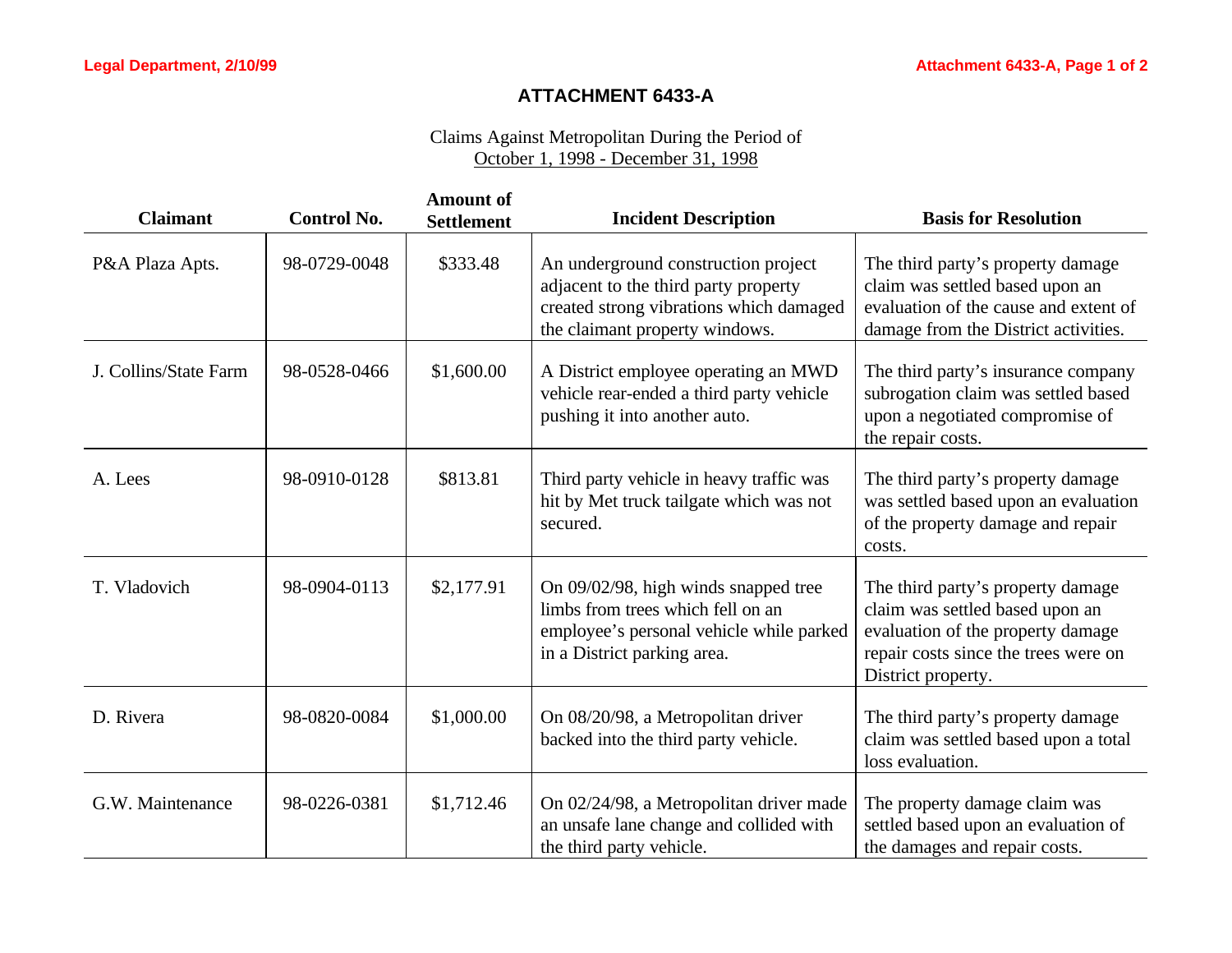# **ATTACHMENT 6433-A**

| <b>Claimant</b>       | <b>Control No.</b> | <b>Amount of</b><br><b>Settlement</b> | <b>Incident Description</b>                                                                                                                              | <b>Basis for Resolution</b>                                                                                                                                             |
|-----------------------|--------------------|---------------------------------------|----------------------------------------------------------------------------------------------------------------------------------------------------------|-------------------------------------------------------------------------------------------------------------------------------------------------------------------------|
| P&A Plaza Apts.       | 98-0729-0048       | \$333.48                              | An underground construction project<br>adjacent to the third party property<br>created strong vibrations which damaged<br>the claimant property windows. | The third party's property damage<br>claim was settled based upon an<br>evaluation of the cause and extent of<br>damage from the District activities.                   |
| J. Collins/State Farm | 98-0528-0466       | \$1,600.00                            | A District employee operating an MWD<br>vehicle rear-ended a third party vehicle<br>pushing it into another auto.                                        | The third party's insurance company<br>subrogation claim was settled based<br>upon a negotiated compromise of<br>the repair costs.                                      |
| A. Lees               | 98-0910-0128       | \$813.81                              | Third party vehicle in heavy traffic was<br>hit by Met truck tailgate which was not<br>secured.                                                          | The third party's property damage<br>was settled based upon an evaluation<br>of the property damage and repair<br>costs.                                                |
| T. Vladovich          | 98-0904-0113       | \$2,177.91                            | On 09/02/98, high winds snapped tree<br>limbs from trees which fell on an<br>employee's personal vehicle while parked<br>in a District parking area.     | The third party's property damage<br>claim was settled based upon an<br>evaluation of the property damage<br>repair costs since the trees were on<br>District property. |
| D. Rivera             | 98-0820-0084       | \$1,000.00                            | On 08/20/98, a Metropolitan driver<br>backed into the third party vehicle.                                                                               | The third party's property damage<br>claim was settled based upon a total<br>loss evaluation.                                                                           |
| G.W. Maintenance      | 98-0226-0381       | \$1,712.46                            | On 02/24/98, a Metropolitan driver made<br>an unsafe lane change and collided with<br>the third party vehicle.                                           | The property damage claim was<br>settled based upon an evaluation of<br>the damages and repair costs.                                                                   |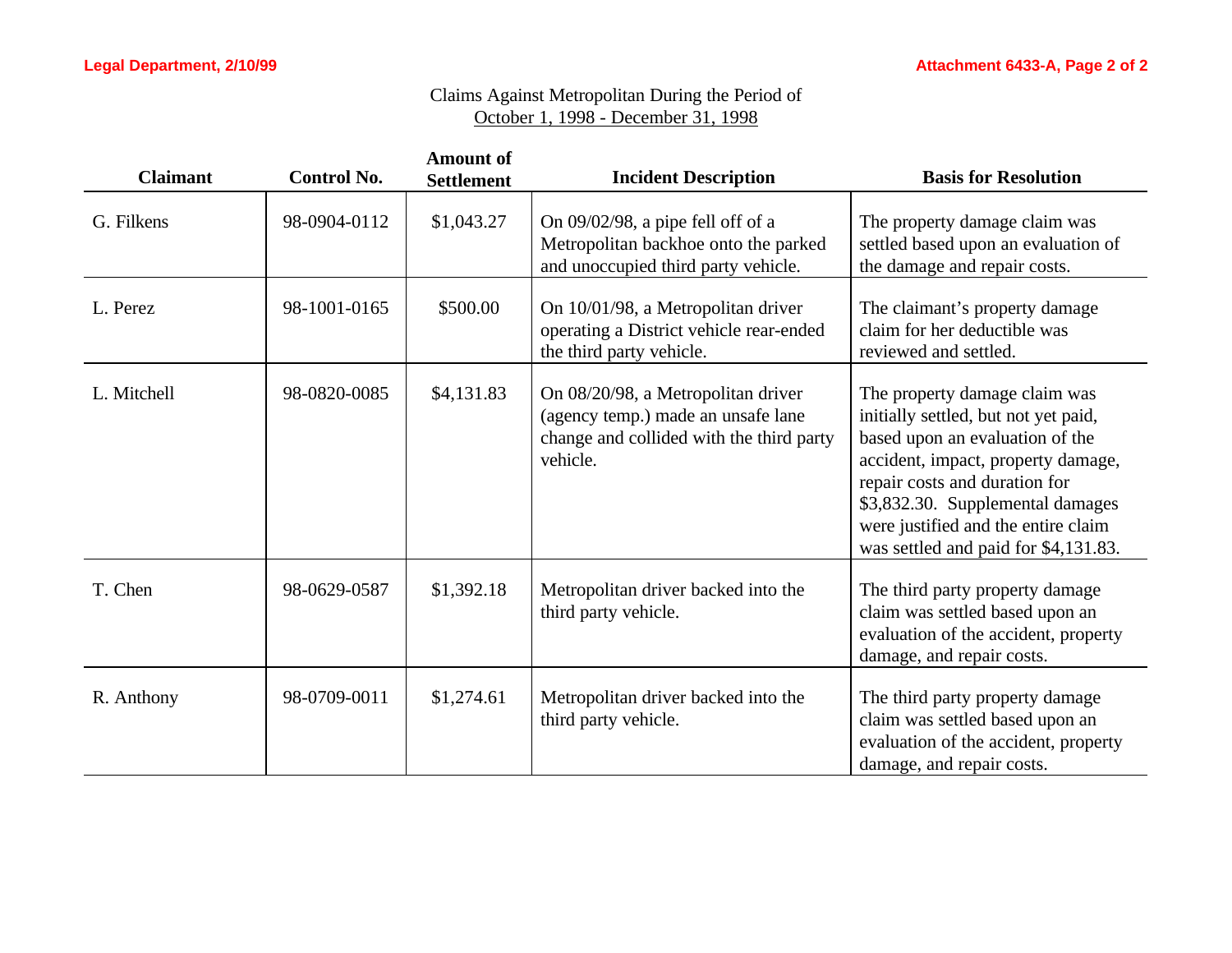| <b>Claimant</b> | <b>Control No.</b> | <b>Amount of</b><br><b>Settlement</b> | <b>Incident Description</b>                                                                                                      | <b>Basis for Resolution</b>                                                                                                                                                                                                                                                                        |
|-----------------|--------------------|---------------------------------------|----------------------------------------------------------------------------------------------------------------------------------|----------------------------------------------------------------------------------------------------------------------------------------------------------------------------------------------------------------------------------------------------------------------------------------------------|
| G. Filkens      | 98-0904-0112       | \$1,043.27                            | On 09/02/98, a pipe fell off of a<br>Metropolitan backhoe onto the parked<br>and unoccupied third party vehicle.                 | The property damage claim was<br>settled based upon an evaluation of<br>the damage and repair costs.                                                                                                                                                                                               |
| L. Perez        | 98-1001-0165       | \$500.00                              | On 10/01/98, a Metropolitan driver<br>operating a District vehicle rear-ended<br>the third party vehicle.                        | The claimant's property damage<br>claim for her deductible was<br>reviewed and settled.                                                                                                                                                                                                            |
| L. Mitchell     | 98-0820-0085       | \$4,131.83                            | On 08/20/98, a Metropolitan driver<br>(agency temp.) made an unsafe lane<br>change and collided with the third party<br>vehicle. | The property damage claim was<br>initially settled, but not yet paid,<br>based upon an evaluation of the<br>accident, impact, property damage,<br>repair costs and duration for<br>\$3,832.30. Supplemental damages<br>were justified and the entire claim<br>was settled and paid for \$4,131.83. |
| T. Chen         | 98-0629-0587       | \$1,392.18                            | Metropolitan driver backed into the<br>third party vehicle.                                                                      | The third party property damage<br>claim was settled based upon an<br>evaluation of the accident, property<br>damage, and repair costs.                                                                                                                                                            |
| R. Anthony      | 98-0709-0011       | \$1,274.61                            | Metropolitan driver backed into the<br>third party vehicle.                                                                      | The third party property damage<br>claim was settled based upon an<br>evaluation of the accident, property<br>damage, and repair costs.                                                                                                                                                            |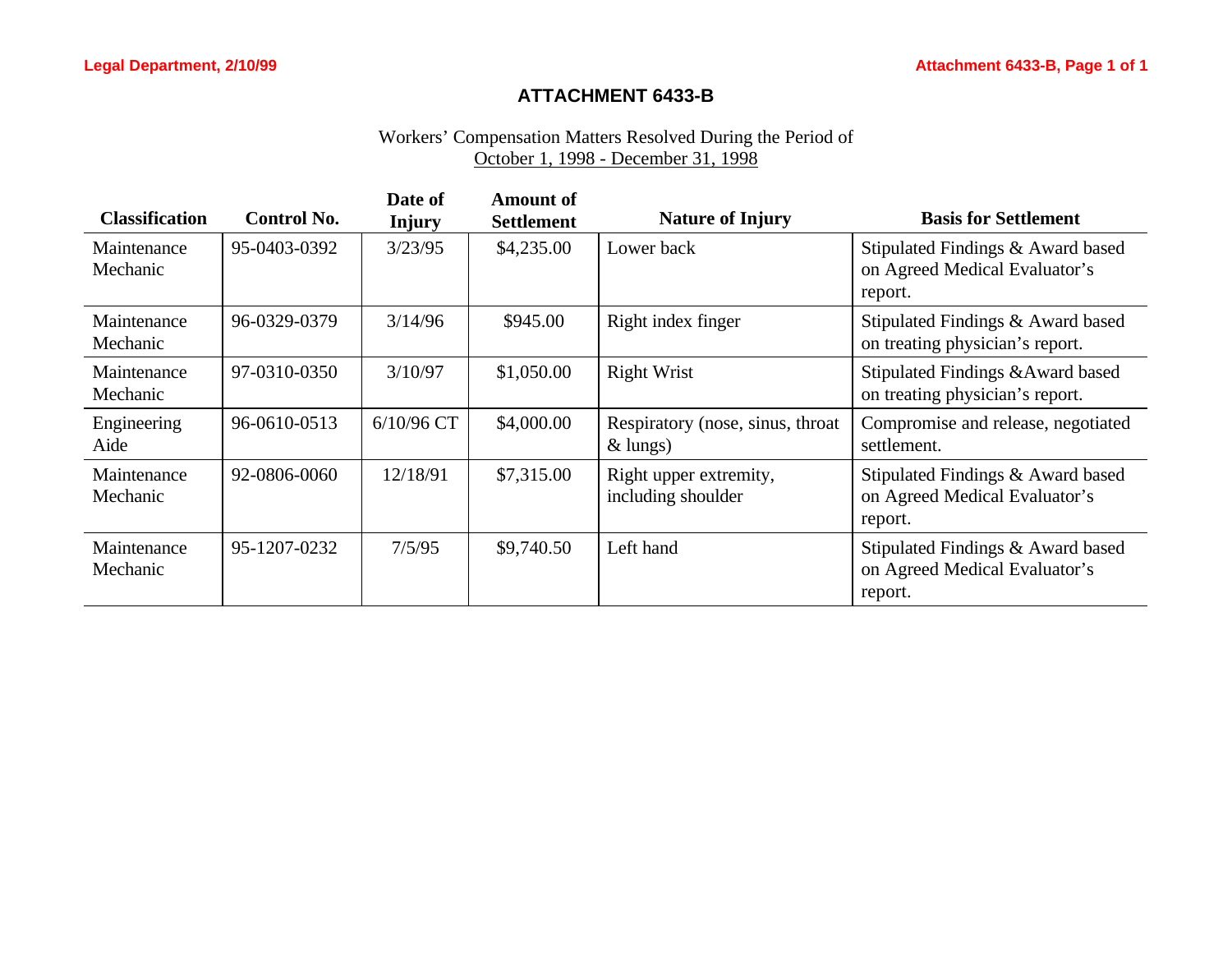# **ATTACHMENT 6433-B**

# Workers' Compensation Matters Resolved During the Period of October 1, 1998 - December 31, 1998

| <b>Classification</b>   | <b>Control No.</b> | Date of<br><b>Injury</b> | Amount of<br><b>Settlement</b> | <b>Nature of Injury</b>                        | <b>Basis for Settlement</b>                                                   |
|-------------------------|--------------------|--------------------------|--------------------------------|------------------------------------------------|-------------------------------------------------------------------------------|
| Maintenance<br>Mechanic | 95-0403-0392       | 3/23/95                  | \$4,235.00                     | Lower back                                     | Stipulated Findings & Award based<br>on Agreed Medical Evaluator's<br>report. |
| Maintenance<br>Mechanic | 96-0329-0379       | 3/14/96                  | \$945.00                       | Right index finger                             | Stipulated Findings & Award based<br>on treating physician's report.          |
| Maintenance<br>Mechanic | 97-0310-0350       | 3/10/97                  | \$1,050.00                     | <b>Right Wrist</b>                             | Stipulated Findings & Award based<br>on treating physician's report.          |
| Engineering<br>Aide     | 96-0610-0513       | $6/10/96$ CT             | \$4,000.00                     | Respiratory (nose, sinus, throat<br>$&$ lungs) | Compromise and release, negotiated<br>settlement.                             |
| Maintenance<br>Mechanic | 92-0806-0060       | 12/18/91                 | \$7,315.00                     | Right upper extremity,<br>including shoulder   | Stipulated Findings & Award based<br>on Agreed Medical Evaluator's<br>report. |
| Maintenance<br>Mechanic | 95-1207-0232       | 7/5/95                   | \$9,740.50                     | Left hand                                      | Stipulated Findings & Award based<br>on Agreed Medical Evaluator's<br>report. |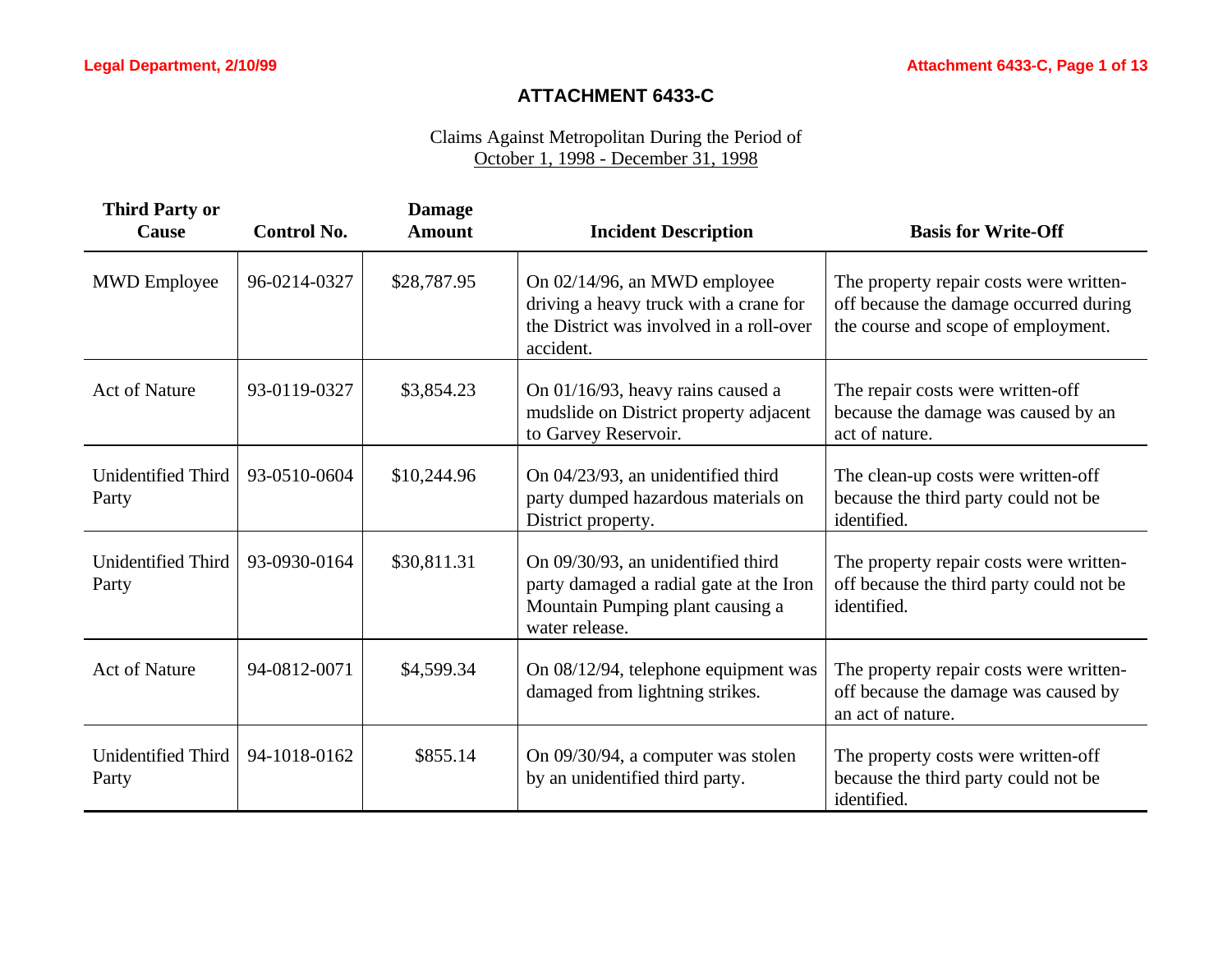# **ATTACHMENT 6433-C**

| <b>Third Party or</b><br><b>Cause</b> | <b>Control No.</b> | <b>Damage</b><br><b>Amount</b> | <b>Incident Description</b>                                                                                                         | <b>Basis for Write-Off</b>                                                                                               |
|---------------------------------------|--------------------|--------------------------------|-------------------------------------------------------------------------------------------------------------------------------------|--------------------------------------------------------------------------------------------------------------------------|
| <b>MWD</b> Employee                   | 96-0214-0327       | \$28,787.95                    | On 02/14/96, an MWD employee<br>driving a heavy truck with a crane for<br>the District was involved in a roll-over<br>accident.     | The property repair costs were written-<br>off because the damage occurred during<br>the course and scope of employment. |
| <b>Act of Nature</b>                  | 93-0119-0327       | \$3,854.23                     | On 01/16/93, heavy rains caused a<br>mudslide on District property adjacent<br>to Garvey Reservoir.                                 | The repair costs were written-off<br>because the damage was caused by an<br>act of nature.                               |
| <b>Unidentified Third</b><br>Party    | 93-0510-0604       | \$10,244.96                    | On 04/23/93, an unidentified third<br>party dumped hazardous materials on<br>District property.                                     | The clean-up costs were written-off<br>because the third party could not be<br>identified.                               |
| <b>Unidentified Third</b><br>Party    | 93-0930-0164       | \$30,811.31                    | On 09/30/93, an unidentified third<br>party damaged a radial gate at the Iron<br>Mountain Pumping plant causing a<br>water release. | The property repair costs were written-<br>off because the third party could not be<br>identified.                       |
| <b>Act of Nature</b>                  | 94-0812-0071       | \$4,599.34                     | On 08/12/94, telephone equipment was<br>damaged from lightning strikes.                                                             | The property repair costs were written-<br>off because the damage was caused by<br>an act of nature.                     |
| <b>Unidentified Third</b><br>Party    | 94-1018-0162       | \$855.14                       | On 09/30/94, a computer was stolen<br>by an unidentified third party.                                                               | The property costs were written-off<br>because the third party could not be<br>identified.                               |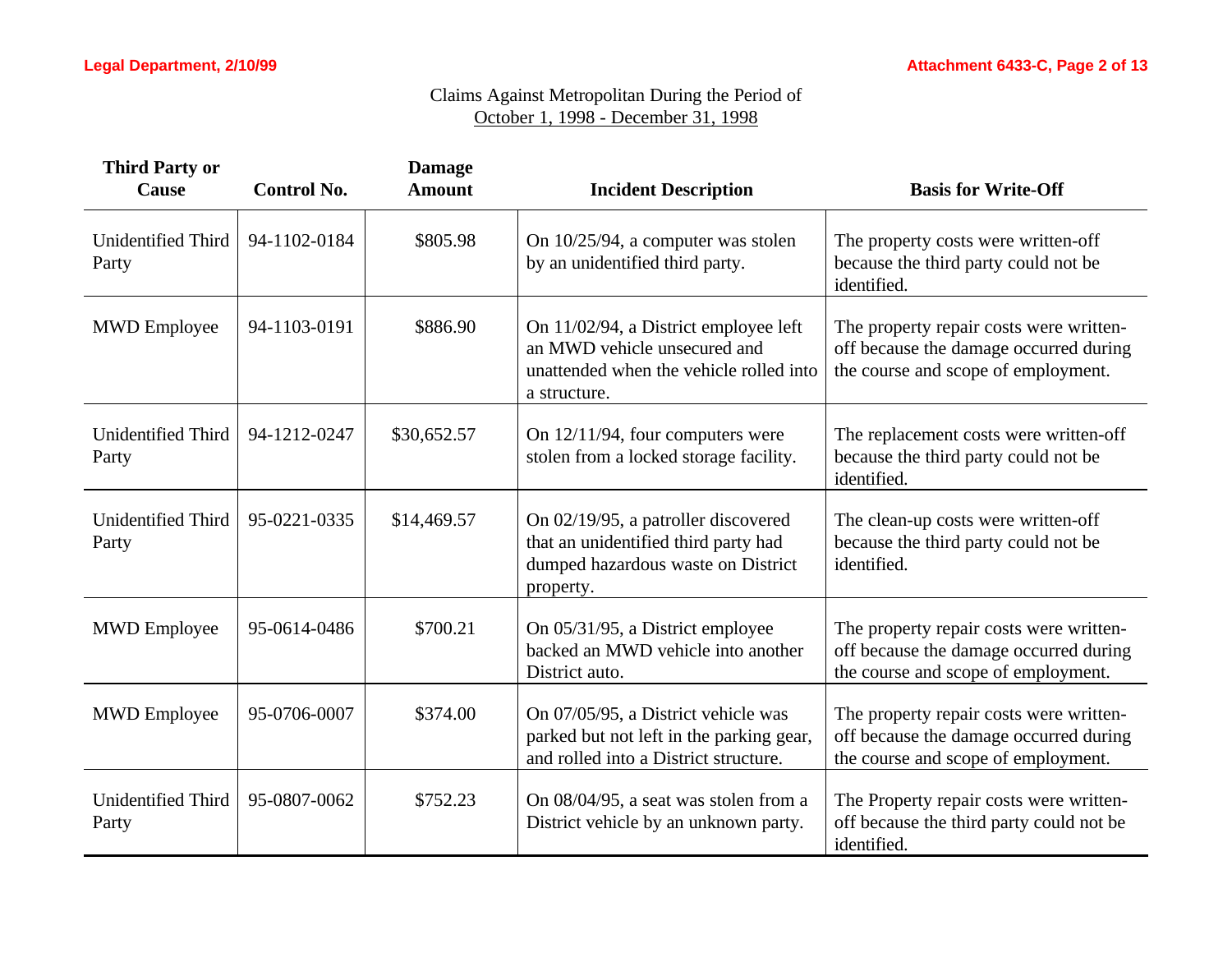| <b>Third Party or</b><br>Cause     | <b>Control No.</b> | <b>Damage</b><br><b>Amount</b> | <b>Incident Description</b>                                                                                                      | <b>Basis for Write-Off</b>                                                                                               |
|------------------------------------|--------------------|--------------------------------|----------------------------------------------------------------------------------------------------------------------------------|--------------------------------------------------------------------------------------------------------------------------|
| Unidentified Third<br>Party        | 94-1102-0184       | \$805.98                       | On 10/25/94, a computer was stolen<br>by an unidentified third party.                                                            | The property costs were written-off<br>because the third party could not be<br>identified.                               |
| <b>MWD</b> Employee                | 94-1103-0191       | \$886.90                       | On 11/02/94, a District employee left<br>an MWD vehicle unsecured and<br>unattended when the vehicle rolled into<br>a structure. | The property repair costs were written-<br>off because the damage occurred during<br>the course and scope of employment. |
| <b>Unidentified Third</b><br>Party | 94-1212-0247       | \$30,652.57                    | On 12/11/94, four computers were<br>stolen from a locked storage facility.                                                       | The replacement costs were written-off<br>because the third party could not be<br>identified.                            |
| Unidentified Third<br>Party        | 95-0221-0335       | \$14,469.57                    | On 02/19/95, a patroller discovered<br>that an unidentified third party had<br>dumped hazardous waste on District<br>property.   | The clean-up costs were written-off<br>because the third party could not be<br>identified.                               |
| <b>MWD</b> Employee                | 95-0614-0486       | \$700.21                       | On 05/31/95, a District employee<br>backed an MWD vehicle into another<br>District auto.                                         | The property repair costs were written-<br>off because the damage occurred during<br>the course and scope of employment. |
| <b>MWD</b> Employee                | 95-0706-0007       | \$374.00                       | On 07/05/95, a District vehicle was<br>parked but not left in the parking gear,<br>and rolled into a District structure.         | The property repair costs were written-<br>off because the damage occurred during<br>the course and scope of employment. |
| Unidentified Third<br>Party        | 95-0807-0062       | \$752.23                       | On 08/04/95, a seat was stolen from a<br>District vehicle by an unknown party.                                                   | The Property repair costs were written-<br>off because the third party could not be<br>identified.                       |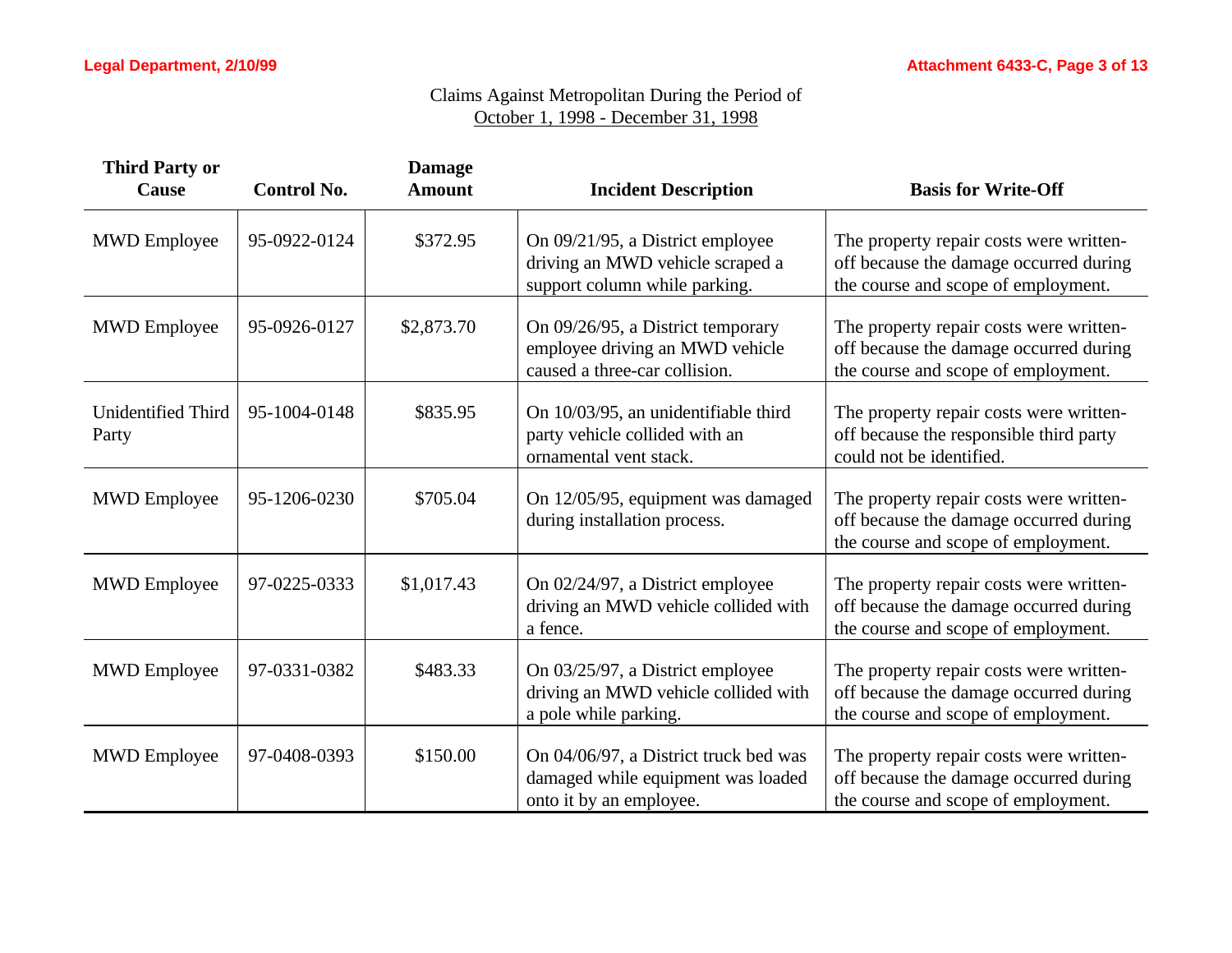| <b>Third Party or</b><br><b>Cause</b> | <b>Control No.</b> | <b>Damage</b><br><b>Amount</b> | <b>Incident Description</b>                                                                            | <b>Basis for Write-Off</b>                                                                                               |
|---------------------------------------|--------------------|--------------------------------|--------------------------------------------------------------------------------------------------------|--------------------------------------------------------------------------------------------------------------------------|
| <b>MWD</b> Employee                   | 95-0922-0124       | \$372.95                       | On 09/21/95, a District employee<br>driving an MWD vehicle scraped a<br>support column while parking.  | The property repair costs were written-<br>off because the damage occurred during<br>the course and scope of employment. |
| <b>MWD</b> Employee                   | 95-0926-0127       | \$2,873.70                     | On 09/26/95, a District temporary<br>employee driving an MWD vehicle<br>caused a three-car collision.  | The property repair costs were written-<br>off because the damage occurred during<br>the course and scope of employment. |
| <b>Unidentified Third</b><br>Party    | 95-1004-0148       | \$835.95                       | On 10/03/95, an unidentifiable third<br>party vehicle collided with an<br>ornamental vent stack.       | The property repair costs were written-<br>off because the responsible third party<br>could not be identified.           |
| <b>MWD</b> Employee                   | 95-1206-0230       | \$705.04                       | On 12/05/95, equipment was damaged<br>during installation process.                                     | The property repair costs were written-<br>off because the damage occurred during<br>the course and scope of employment. |
| <b>MWD</b> Employee                   | 97-0225-0333       | \$1,017.43                     | On 02/24/97, a District employee<br>driving an MWD vehicle collided with<br>a fence.                   | The property repair costs were written-<br>off because the damage occurred during<br>the course and scope of employment. |
| <b>MWD</b> Employee                   | 97-0331-0382       | \$483.33                       | On 03/25/97, a District employee<br>driving an MWD vehicle collided with<br>a pole while parking.      | The property repair costs were written-<br>off because the damage occurred during<br>the course and scope of employment. |
| <b>MWD</b> Employee                   | 97-0408-0393       | \$150.00                       | On 04/06/97, a District truck bed was<br>damaged while equipment was loaded<br>onto it by an employee. | The property repair costs were written-<br>off because the damage occurred during<br>the course and scope of employment. |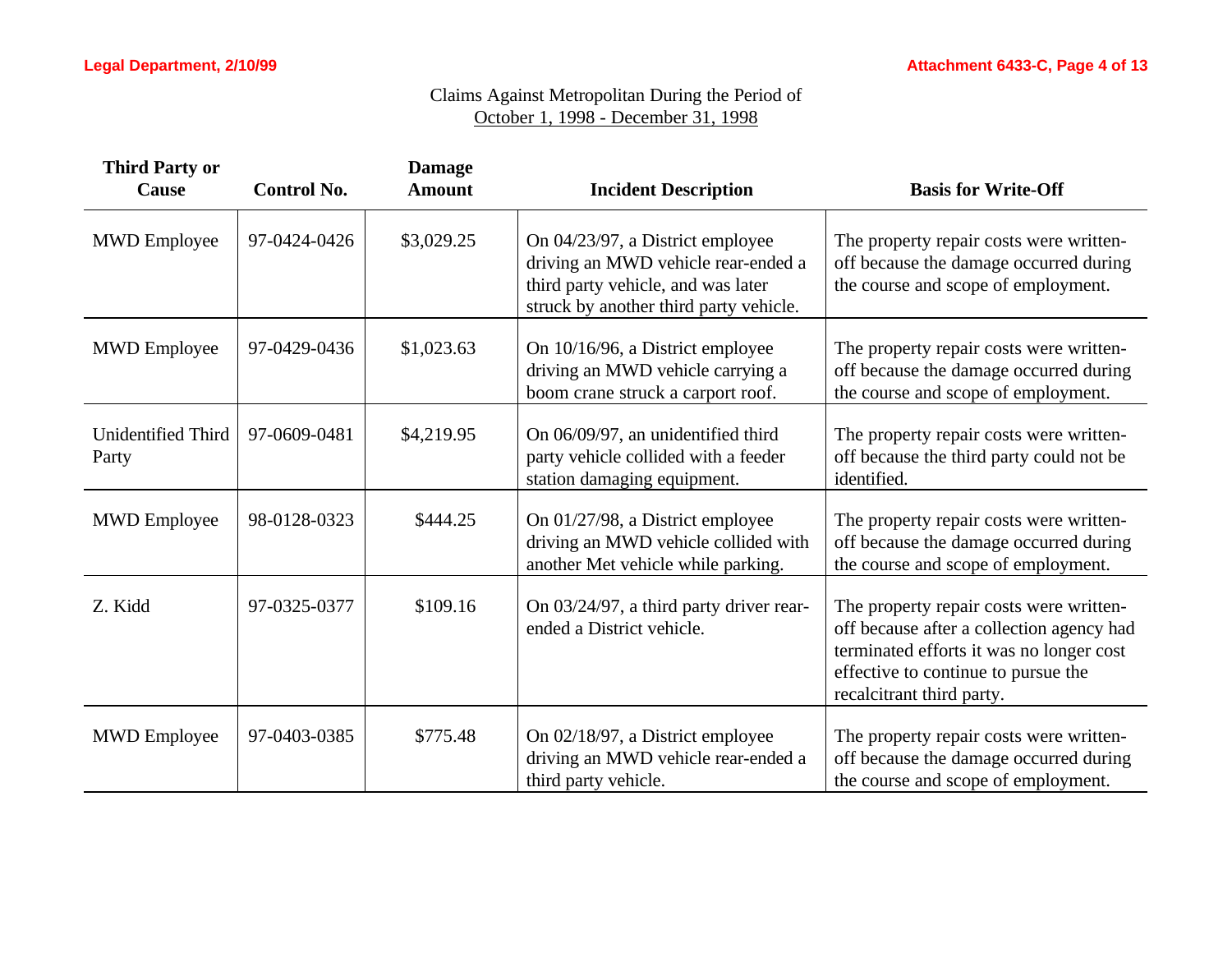| <b>Third Party or</b><br>Cause     | <b>Control No.</b> | <b>Damage</b><br><b>Amount</b> | <b>Incident Description</b>                                                                                                                             | <b>Basis for Write-Off</b>                                                                                                                                                                           |
|------------------------------------|--------------------|--------------------------------|---------------------------------------------------------------------------------------------------------------------------------------------------------|------------------------------------------------------------------------------------------------------------------------------------------------------------------------------------------------------|
| <b>MWD</b> Employee                | 97-0424-0426       | \$3,029.25                     | On 04/23/97, a District employee<br>driving an MWD vehicle rear-ended a<br>third party vehicle, and was later<br>struck by another third party vehicle. | The property repair costs were written-<br>off because the damage occurred during<br>the course and scope of employment.                                                                             |
| <b>MWD</b> Employee                | 97-0429-0436       | \$1,023.63                     | On 10/16/96, a District employee<br>driving an MWD vehicle carrying a<br>boom crane struck a carport roof.                                              | The property repair costs were written-<br>off because the damage occurred during<br>the course and scope of employment.                                                                             |
| <b>Unidentified Third</b><br>Party | 97-0609-0481       | \$4,219.95                     | On 06/09/97, an unidentified third<br>party vehicle collided with a feeder<br>station damaging equipment.                                               | The property repair costs were written-<br>off because the third party could not be<br>identified.                                                                                                   |
| <b>MWD</b> Employee                | 98-0128-0323       | \$444.25                       | On 01/27/98, a District employee<br>driving an MWD vehicle collided with<br>another Met vehicle while parking.                                          | The property repair costs were written-<br>off because the damage occurred during<br>the course and scope of employment.                                                                             |
| Z. Kidd                            | 97-0325-0377       | \$109.16                       | On 03/24/97, a third party driver rear-<br>ended a District vehicle.                                                                                    | The property repair costs were written-<br>off because after a collection agency had<br>terminated efforts it was no longer cost<br>effective to continue to pursue the<br>recalcitrant third party. |
| <b>MWD</b> Employee                | 97-0403-0385       | \$775.48                       | On 02/18/97, a District employee<br>driving an MWD vehicle rear-ended a<br>third party vehicle.                                                         | The property repair costs were written-<br>off because the damage occurred during<br>the course and scope of employment.                                                                             |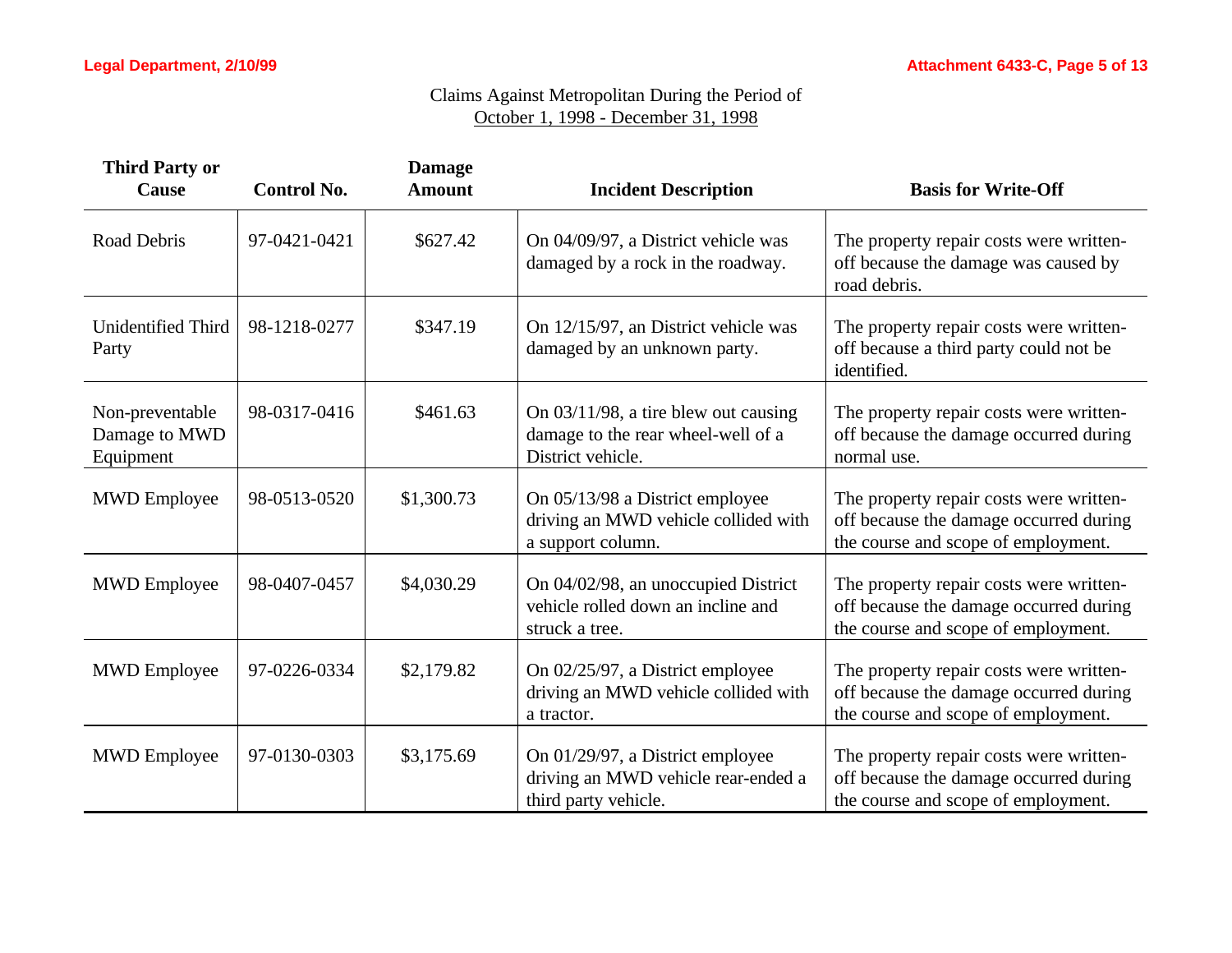| <b>Third Party or</b><br>Cause                | <b>Control No.</b> | <b>Damage</b><br><b>Amount</b> | <b>Incident Description</b>                                                                        | <b>Basis for Write-Off</b>                                                                                               |
|-----------------------------------------------|--------------------|--------------------------------|----------------------------------------------------------------------------------------------------|--------------------------------------------------------------------------------------------------------------------------|
| Road Debris                                   | 97-0421-0421       | \$627.42                       | On 04/09/97, a District vehicle was<br>damaged by a rock in the roadway.                           | The property repair costs were written-<br>off because the damage was caused by<br>road debris.                          |
| Unidentified Third<br>Party                   | 98-1218-0277       | \$347.19                       | On 12/15/97, an District vehicle was<br>damaged by an unknown party.                               | The property repair costs were written-<br>off because a third party could not be<br>identified.                         |
| Non-preventable<br>Damage to MWD<br>Equipment | 98-0317-0416       | \$461.63                       | On $03/11/98$ , a tire blew out causing<br>damage to the rear wheel-well of a<br>District vehicle. | The property repair costs were written-<br>off because the damage occurred during<br>normal use.                         |
| <b>MWD</b> Employee                           | 98-0513-0520       | \$1,300.73                     | On 05/13/98 a District employee<br>driving an MWD vehicle collided with<br>a support column.       | The property repair costs were written-<br>off because the damage occurred during<br>the course and scope of employment. |
| <b>MWD</b> Employee                           | 98-0407-0457       | \$4,030.29                     | On 04/02/98, an unoccupied District<br>vehicle rolled down an incline and<br>struck a tree.        | The property repair costs were written-<br>off because the damage occurred during<br>the course and scope of employment. |
| <b>MWD</b> Employee                           | 97-0226-0334       | \$2,179.82                     | On 02/25/97, a District employee<br>driving an MWD vehicle collided with<br>a tractor.             | The property repair costs were written-<br>off because the damage occurred during<br>the course and scope of employment. |
| <b>MWD</b> Employee                           | 97-0130-0303       | \$3,175.69                     | On 01/29/97, a District employee<br>driving an MWD vehicle rear-ended a<br>third party vehicle.    | The property repair costs were written-<br>off because the damage occurred during<br>the course and scope of employment. |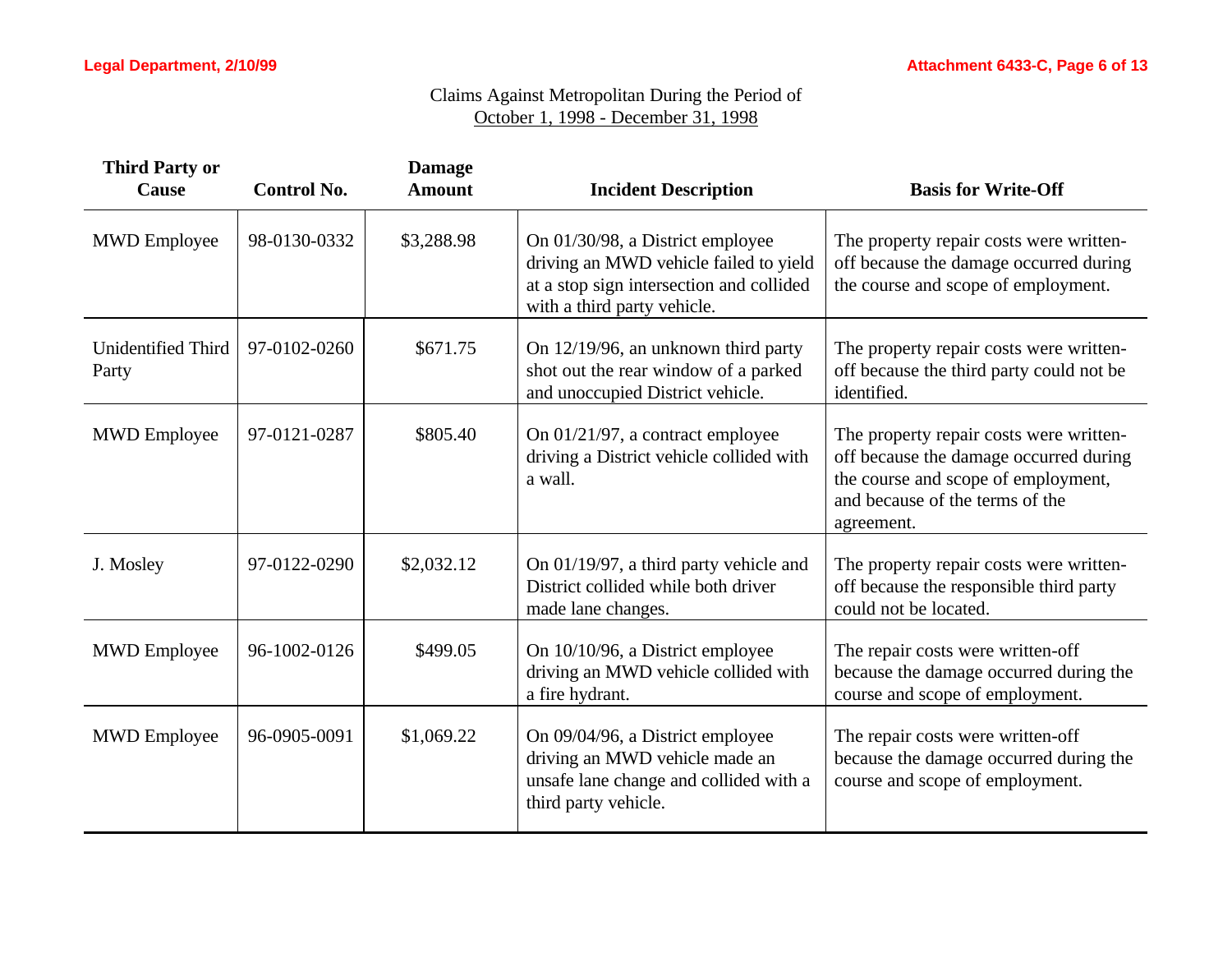| <b>Third Party or</b><br>Cause     | <b>Control No.</b> | <b>Damage</b><br><b>Amount</b> | <b>Incident Description</b>                                                                                                                           | <b>Basis for Write-Off</b>                                                                                                                                                |
|------------------------------------|--------------------|--------------------------------|-------------------------------------------------------------------------------------------------------------------------------------------------------|---------------------------------------------------------------------------------------------------------------------------------------------------------------------------|
| <b>MWD</b> Employee                | 98-0130-0332       | \$3,288.98                     | On 01/30/98, a District employee<br>driving an MWD vehicle failed to yield<br>at a stop sign intersection and collided<br>with a third party vehicle. | The property repair costs were written-<br>off because the damage occurred during<br>the course and scope of employment.                                                  |
| <b>Unidentified Third</b><br>Party | 97-0102-0260       | \$671.75                       | On 12/19/96, an unknown third party<br>shot out the rear window of a parked<br>and unoccupied District vehicle.                                       | The property repair costs were written-<br>off because the third party could not be<br>identified.                                                                        |
| <b>MWD</b> Employee                | 97-0121-0287       | \$805.40                       | On 01/21/97, a contract employee<br>driving a District vehicle collided with<br>a wall.                                                               | The property repair costs were written-<br>off because the damage occurred during<br>the course and scope of employment,<br>and because of the terms of the<br>agreement. |
| J. Mosley                          | 97-0122-0290       | \$2,032.12                     | On 01/19/97, a third party vehicle and<br>District collided while both driver<br>made lane changes.                                                   | The property repair costs were written-<br>off because the responsible third party<br>could not be located.                                                               |
| <b>MWD</b> Employee                | 96-1002-0126       | \$499.05                       | On 10/10/96, a District employee<br>driving an MWD vehicle collided with<br>a fire hydrant.                                                           | The repair costs were written-off<br>because the damage occurred during the<br>course and scope of employment.                                                            |
| <b>MWD</b> Employee                | 96-0905-0091       | \$1,069.22                     | On 09/04/96, a District employee<br>driving an MWD vehicle made an<br>unsafe lane change and collided with a<br>third party vehicle.                  | The repair costs were written-off<br>because the damage occurred during the<br>course and scope of employment.                                                            |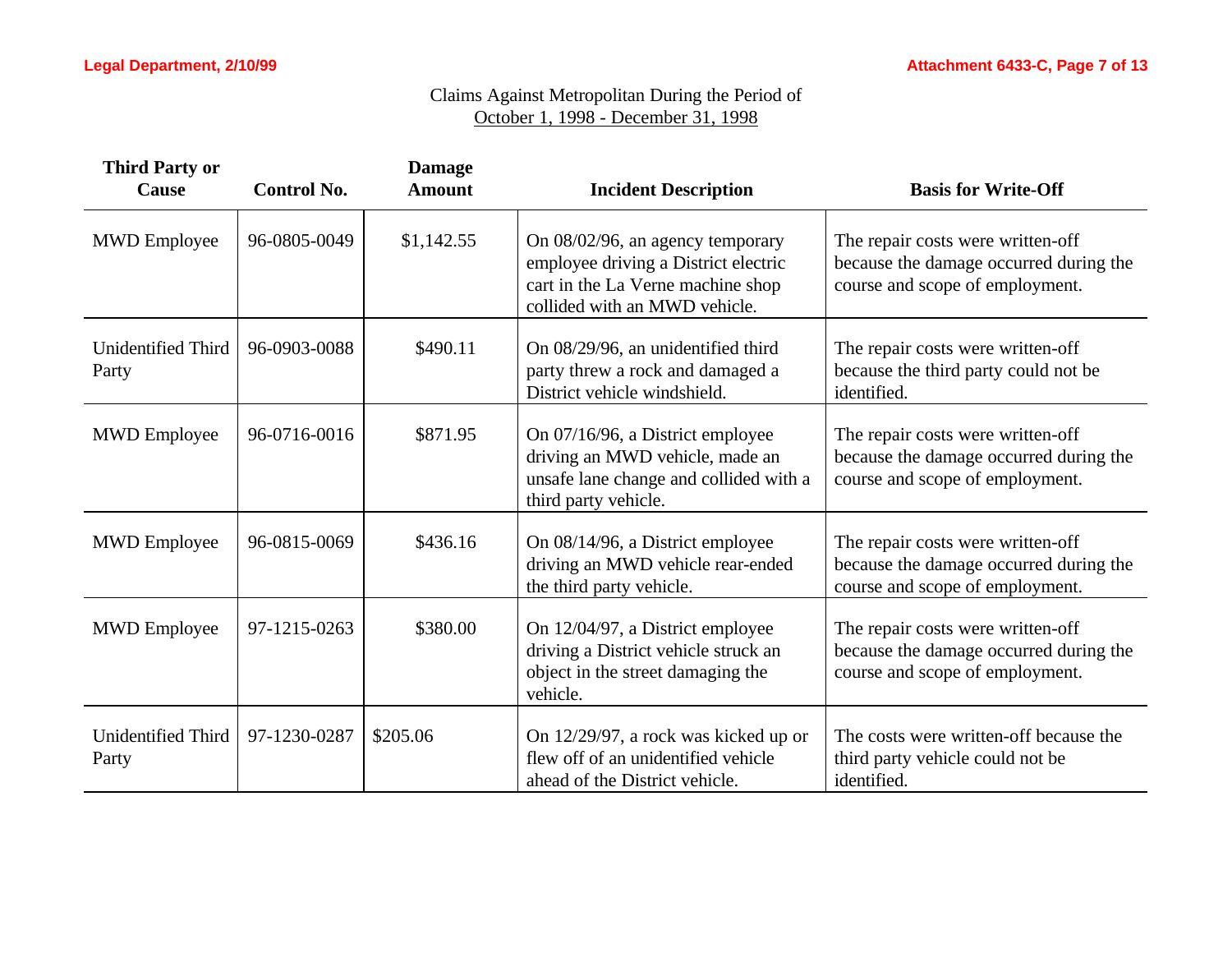| <b>Third Party or</b><br><b>Cause</b> | <b>Control No.</b> | <b>Damage</b><br><b>Amount</b> | <b>Incident Description</b>                                                                                                                    | <b>Basis for Write-Off</b>                                                                                     |
|---------------------------------------|--------------------|--------------------------------|------------------------------------------------------------------------------------------------------------------------------------------------|----------------------------------------------------------------------------------------------------------------|
| <b>MWD</b> Employee                   | 96-0805-0049       | \$1,142.55                     | On 08/02/96, an agency temporary<br>employee driving a District electric<br>cart in the La Verne machine shop<br>collided with an MWD vehicle. | The repair costs were written-off<br>because the damage occurred during the<br>course and scope of employment. |
| <b>Unidentified Third</b><br>Party    | 96-0903-0088       | \$490.11                       | On 08/29/96, an unidentified third<br>party threw a rock and damaged a<br>District vehicle windshield.                                         | The repair costs were written-off<br>because the third party could not be<br>identified.                       |
| <b>MWD</b> Employee                   | 96-0716-0016       | \$871.95                       | On 07/16/96, a District employee<br>driving an MWD vehicle, made an<br>unsafe lane change and collided with a<br>third party vehicle.          | The repair costs were written-off<br>because the damage occurred during the<br>course and scope of employment. |
| <b>MWD</b> Employee                   | 96-0815-0069       | \$436.16                       | On 08/14/96, a District employee<br>driving an MWD vehicle rear-ended<br>the third party vehicle.                                              | The repair costs were written-off<br>because the damage occurred during the<br>course and scope of employment. |
| <b>MWD</b> Employee                   | 97-1215-0263       | \$380.00                       | On 12/04/97, a District employee<br>driving a District vehicle struck an<br>object in the street damaging the<br>vehicle.                      | The repair costs were written-off<br>because the damage occurred during the<br>course and scope of employment. |
| <b>Unidentified Third</b><br>Party    | 97-1230-0287       | \$205.06                       | On 12/29/97, a rock was kicked up or<br>flew off of an unidentified vehicle<br>ahead of the District vehicle.                                  | The costs were written-off because the<br>third party vehicle could not be<br>identified.                      |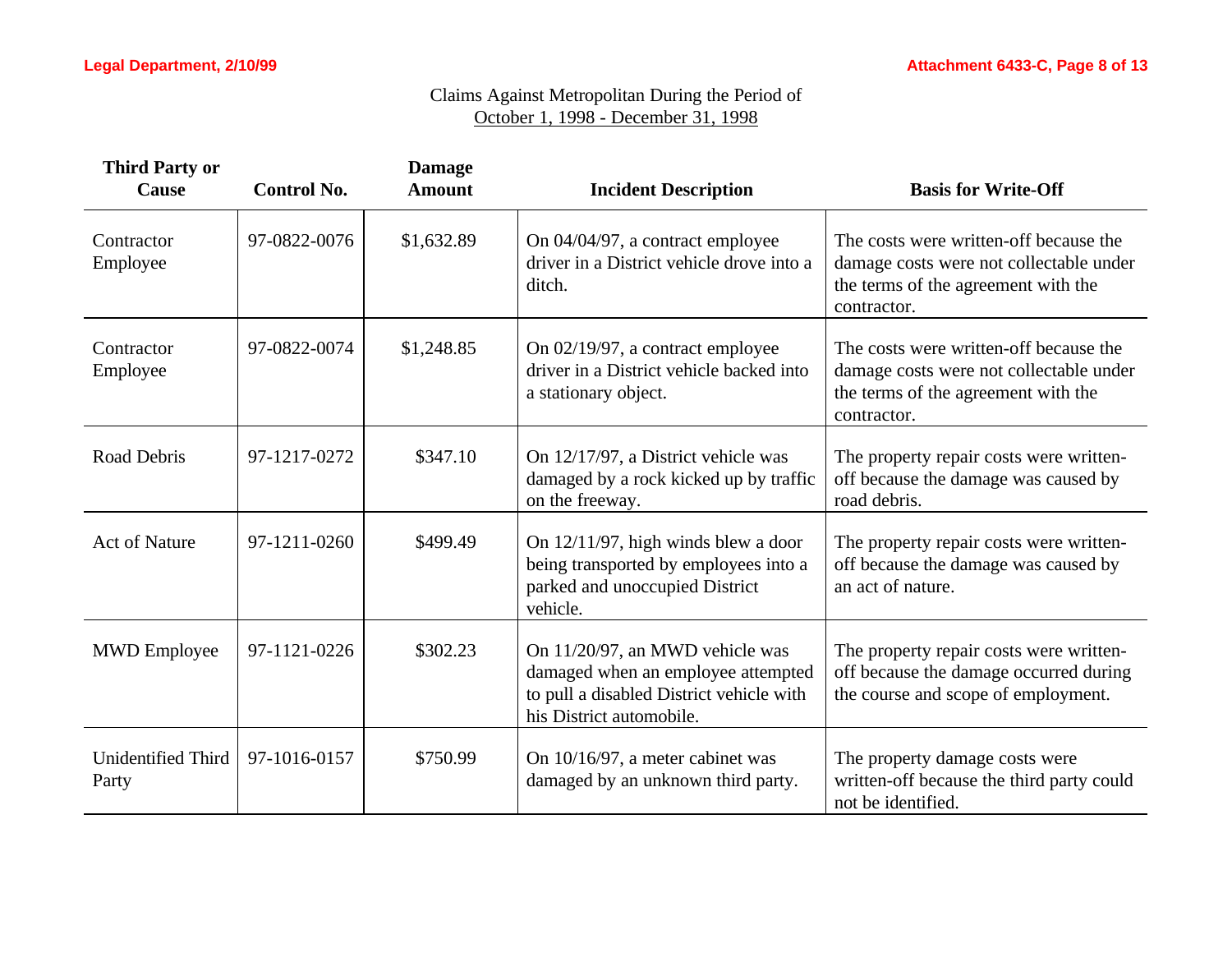| <b>Third Party or</b><br>Cause     | <b>Control No.</b> | <b>Damage</b><br><b>Amount</b> | <b>Incident Description</b>                                                                                                                   | <b>Basis for Write-Off</b>                                                                                                              |
|------------------------------------|--------------------|--------------------------------|-----------------------------------------------------------------------------------------------------------------------------------------------|-----------------------------------------------------------------------------------------------------------------------------------------|
| Contractor<br>Employee             | 97-0822-0076       | \$1,632.89                     | On 04/04/97, a contract employee<br>driver in a District vehicle drove into a<br>ditch.                                                       | The costs were written-off because the<br>damage costs were not collectable under<br>the terms of the agreement with the<br>contractor. |
| Contractor<br>Employee             | 97-0822-0074       | \$1,248.85                     | On 02/19/97, a contract employee<br>driver in a District vehicle backed into<br>a stationary object.                                          | The costs were written-off because the<br>damage costs were not collectable under<br>the terms of the agreement with the<br>contractor. |
| Road Debris                        | 97-1217-0272       | \$347.10                       | On 12/17/97, a District vehicle was<br>damaged by a rock kicked up by traffic<br>on the freeway.                                              | The property repair costs were written-<br>off because the damage was caused by<br>road debris.                                         |
| <b>Act of Nature</b>               | 97-1211-0260       | \$499.49                       | On 12/11/97, high winds blew a door<br>being transported by employees into a<br>parked and unoccupied District<br>vehicle.                    | The property repair costs were written-<br>off because the damage was caused by<br>an act of nature.                                    |
| <b>MWD</b> Employee                | 97-1121-0226       | \$302.23                       | On 11/20/97, an MWD vehicle was<br>damaged when an employee attempted<br>to pull a disabled District vehicle with<br>his District automobile. | The property repair costs were written-<br>off because the damage occurred during<br>the course and scope of employment.                |
| <b>Unidentified Third</b><br>Party | 97-1016-0157       | \$750.99                       | On 10/16/97, a meter cabinet was<br>damaged by an unknown third party.                                                                        | The property damage costs were<br>written-off because the third party could<br>not be identified.                                       |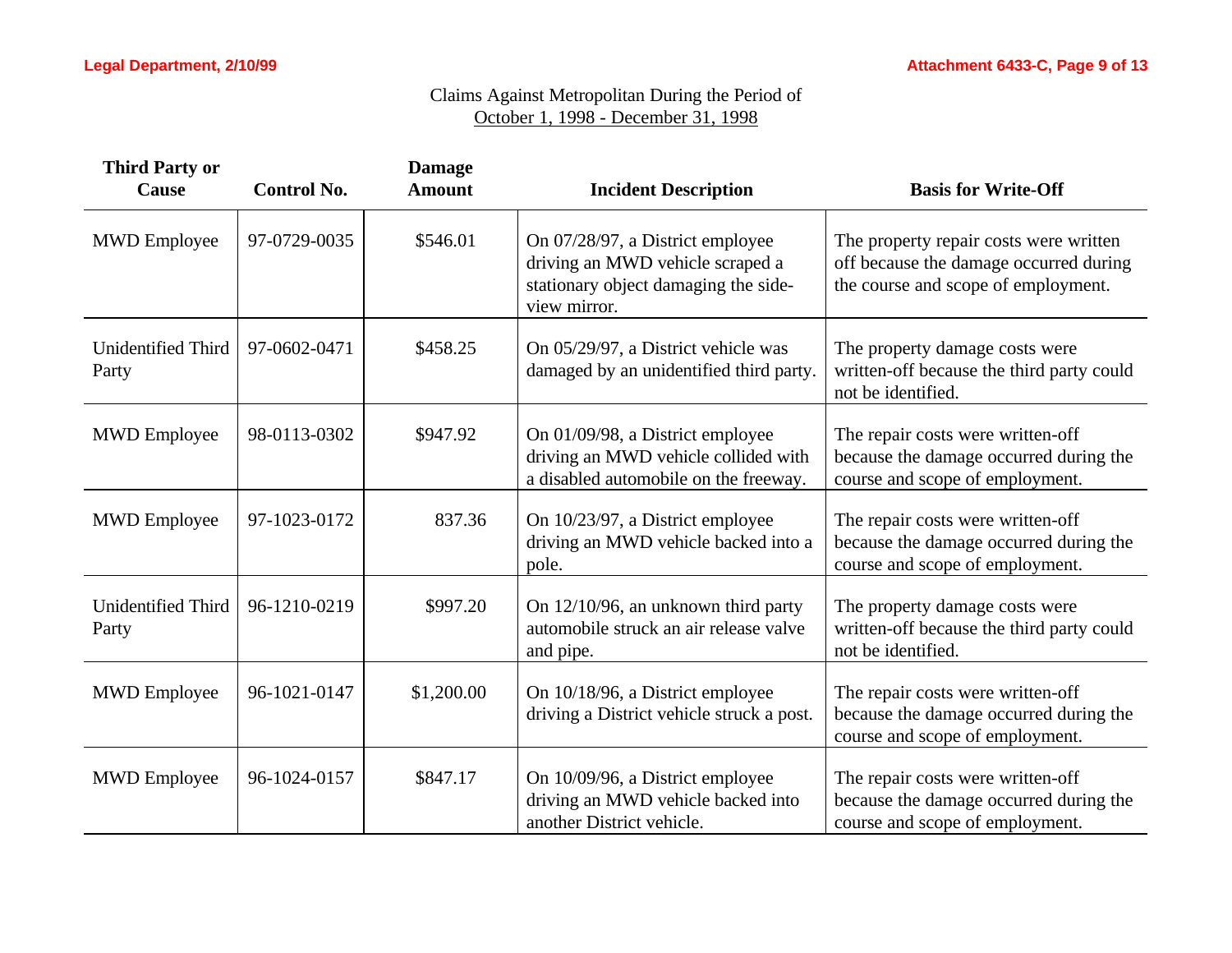| <b>Third Party or</b><br>Cause     | <b>Control No.</b> | <b>Damage</b><br><b>Amount</b> | <b>Incident Description</b>                                                                                                  | <b>Basis for Write-Off</b>                                                                                              |
|------------------------------------|--------------------|--------------------------------|------------------------------------------------------------------------------------------------------------------------------|-------------------------------------------------------------------------------------------------------------------------|
| <b>MWD</b> Employee                | 97-0729-0035       | \$546.01                       | On 07/28/97, a District employee<br>driving an MWD vehicle scraped a<br>stationary object damaging the side-<br>view mirror. | The property repair costs were written<br>off because the damage occurred during<br>the course and scope of employment. |
| <b>Unidentified Third</b><br>Party | 97-0602-0471       | \$458.25                       | On 05/29/97, a District vehicle was<br>damaged by an unidentified third party.                                               | The property damage costs were<br>written-off because the third party could<br>not be identified.                       |
| <b>MWD</b> Employee                | 98-0113-0302       | \$947.92                       | On 01/09/98, a District employee<br>driving an MWD vehicle collided with<br>a disabled automobile on the freeway.            | The repair costs were written-off<br>because the damage occurred during the<br>course and scope of employment.          |
| <b>MWD</b> Employee                | 97-1023-0172       | 837.36                         | On 10/23/97, a District employee<br>driving an MWD vehicle backed into a<br>pole.                                            | The repair costs were written-off<br>because the damage occurred during the<br>course and scope of employment.          |
| <b>Unidentified Third</b><br>Party | 96-1210-0219       | \$997.20                       | On 12/10/96, an unknown third party<br>automobile struck an air release valve<br>and pipe.                                   | The property damage costs were<br>written-off because the third party could<br>not be identified.                       |
| <b>MWD</b> Employee                | 96-1021-0147       | \$1,200.00                     | On 10/18/96, a District employee<br>driving a District vehicle struck a post.                                                | The repair costs were written-off<br>because the damage occurred during the<br>course and scope of employment.          |
| <b>MWD</b> Employee                | 96-1024-0157       | \$847.17                       | On 10/09/96, a District employee<br>driving an MWD vehicle backed into<br>another District vehicle.                          | The repair costs were written-off<br>because the damage occurred during the<br>course and scope of employment.          |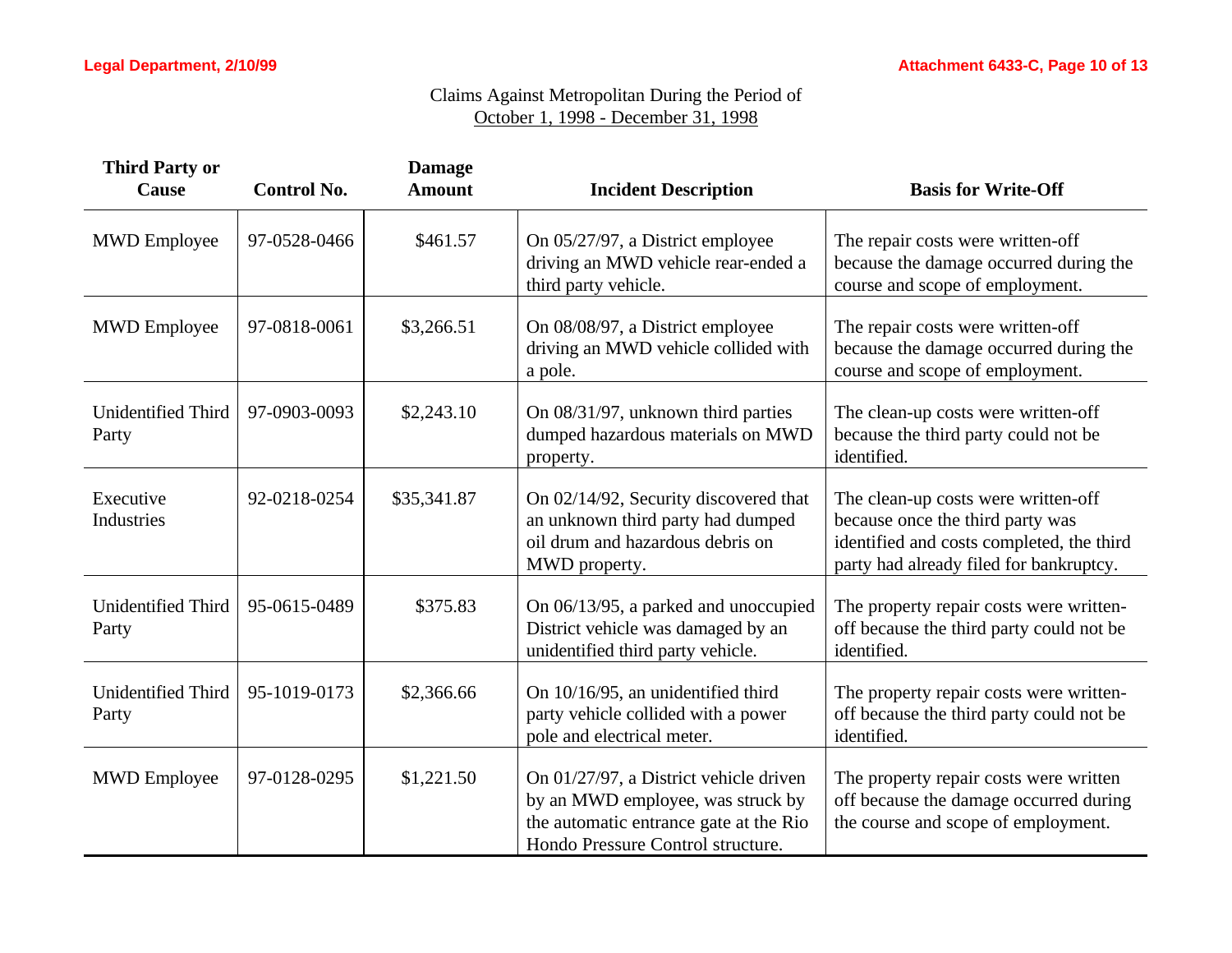| <b>Third Party or</b><br><b>Cause</b> | <b>Control No.</b> | <b>Damage</b><br><b>Amount</b> | <b>Incident Description</b>                                                                                                                                | <b>Basis for Write-Off</b>                                                                                                                                      |
|---------------------------------------|--------------------|--------------------------------|------------------------------------------------------------------------------------------------------------------------------------------------------------|-----------------------------------------------------------------------------------------------------------------------------------------------------------------|
| <b>MWD</b> Employee                   | 97-0528-0466       | \$461.57                       | On 05/27/97, a District employee<br>driving an MWD vehicle rear-ended a<br>third party vehicle.                                                            | The repair costs were written-off<br>because the damage occurred during the<br>course and scope of employment.                                                  |
| <b>MWD</b> Employee                   | 97-0818-0061       | \$3,266.51                     | On 08/08/97, a District employee<br>driving an MWD vehicle collided with<br>a pole.                                                                        | The repair costs were written-off<br>because the damage occurred during the<br>course and scope of employment.                                                  |
| Unidentified Third<br>Party           | 97-0903-0093       | \$2,243.10                     | On 08/31/97, unknown third parties<br>dumped hazardous materials on MWD<br>property.                                                                       | The clean-up costs were written-off<br>because the third party could not be<br>identified.                                                                      |
| Executive<br>Industries               | 92-0218-0254       | \$35,341.87                    | On 02/14/92, Security discovered that<br>an unknown third party had dumped<br>oil drum and hazardous debris on<br>MWD property.                            | The clean-up costs were written-off<br>because once the third party was<br>identified and costs completed, the third<br>party had already filed for bankruptcy. |
| Unidentified Third<br>Party           | 95-0615-0489       | \$375.83                       | On 06/13/95, a parked and unoccupied<br>District vehicle was damaged by an<br>unidentified third party vehicle.                                            | The property repair costs were written-<br>off because the third party could not be<br>identified.                                                              |
| <b>Unidentified Third</b><br>Party    | 95-1019-0173       | \$2,366.66                     | On 10/16/95, an unidentified third<br>party vehicle collided with a power<br>pole and electrical meter.                                                    | The property repair costs were written-<br>off because the third party could not be<br>identified.                                                              |
| <b>MWD</b> Employee                   | 97-0128-0295       | \$1,221.50                     | On 01/27/97, a District vehicle driven<br>by an MWD employee, was struck by<br>the automatic entrance gate at the Rio<br>Hondo Pressure Control structure. | The property repair costs were written<br>off because the damage occurred during<br>the course and scope of employment.                                         |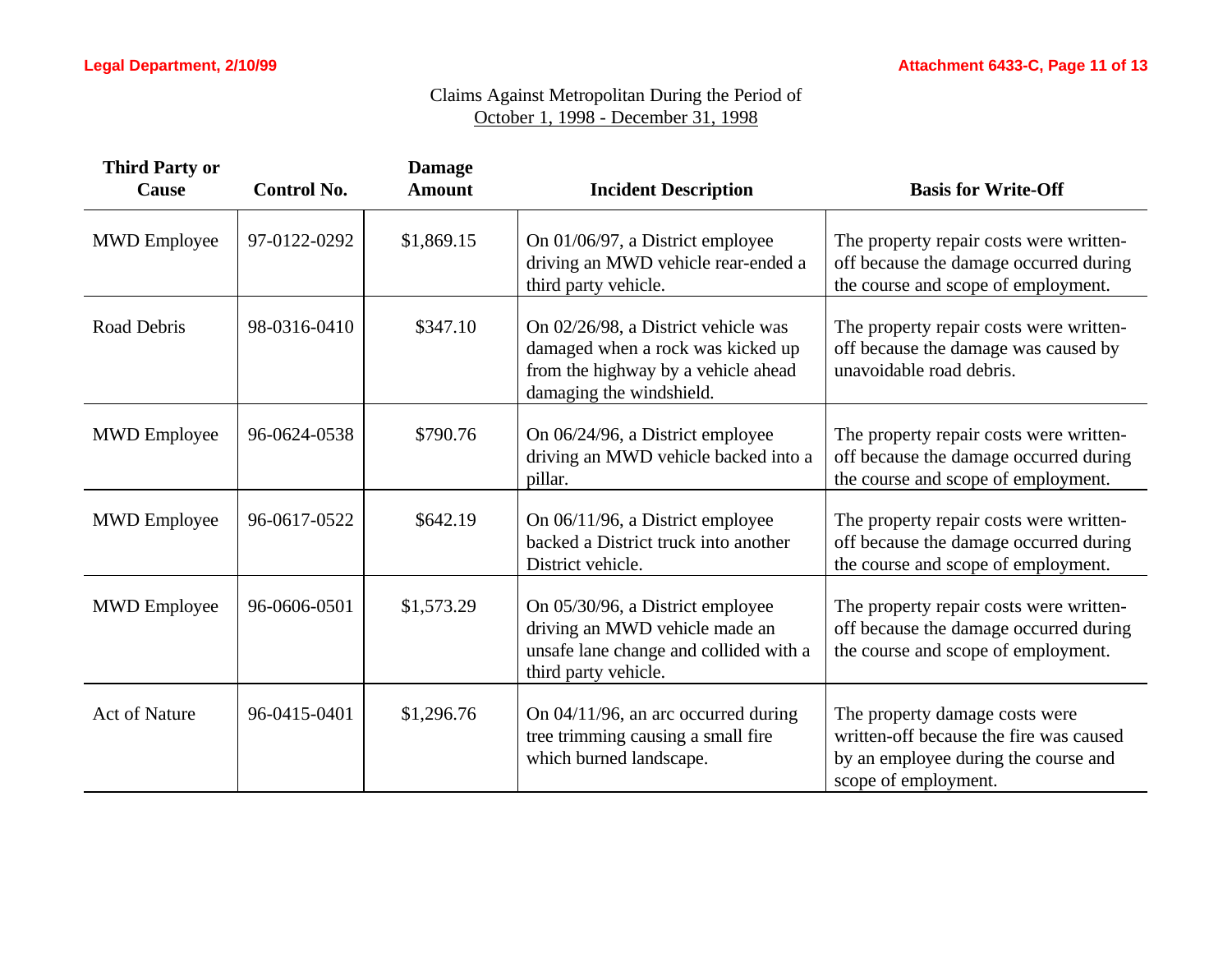| <b>Third Party or</b><br>Cause | <b>Control No.</b> | <b>Damage</b><br><b>Amount</b> | <b>Incident Description</b>                                                                                                                 | <b>Basis for Write-Off</b>                                                                                                                |
|--------------------------------|--------------------|--------------------------------|---------------------------------------------------------------------------------------------------------------------------------------------|-------------------------------------------------------------------------------------------------------------------------------------------|
| <b>MWD</b> Employee            | 97-0122-0292       | \$1,869.15                     | On 01/06/97, a District employee<br>driving an MWD vehicle rear-ended a<br>third party vehicle.                                             | The property repair costs were written-<br>off because the damage occurred during<br>the course and scope of employment.                  |
| Road Debris                    | 98-0316-0410       | \$347.10                       | On 02/26/98, a District vehicle was<br>damaged when a rock was kicked up<br>from the highway by a vehicle ahead<br>damaging the windshield. | The property repair costs were written-<br>off because the damage was caused by<br>unavoidable road debris.                               |
| <b>MWD</b> Employee            | 96-0624-0538       | \$790.76                       | On 06/24/96, a District employee<br>driving an MWD vehicle backed into a<br>pillar.                                                         | The property repair costs were written-<br>off because the damage occurred during<br>the course and scope of employment.                  |
| <b>MWD</b> Employee            | 96-0617-0522       | \$642.19                       | On 06/11/96, a District employee<br>backed a District truck into another<br>District vehicle.                                               | The property repair costs were written-<br>off because the damage occurred during<br>the course and scope of employment.                  |
| <b>MWD</b> Employee            | 96-0606-0501       | \$1,573.29                     | On 05/30/96, a District employee<br>driving an MWD vehicle made an<br>unsafe lane change and collided with a<br>third party vehicle.        | The property repair costs were written-<br>off because the damage occurred during<br>the course and scope of employment.                  |
| <b>Act of Nature</b>           | 96-0415-0401       | \$1,296.76                     | On 04/11/96, an arc occurred during<br>tree trimming causing a small fire<br>which burned landscape.                                        | The property damage costs were<br>written-off because the fire was caused<br>by an employee during the course and<br>scope of employment. |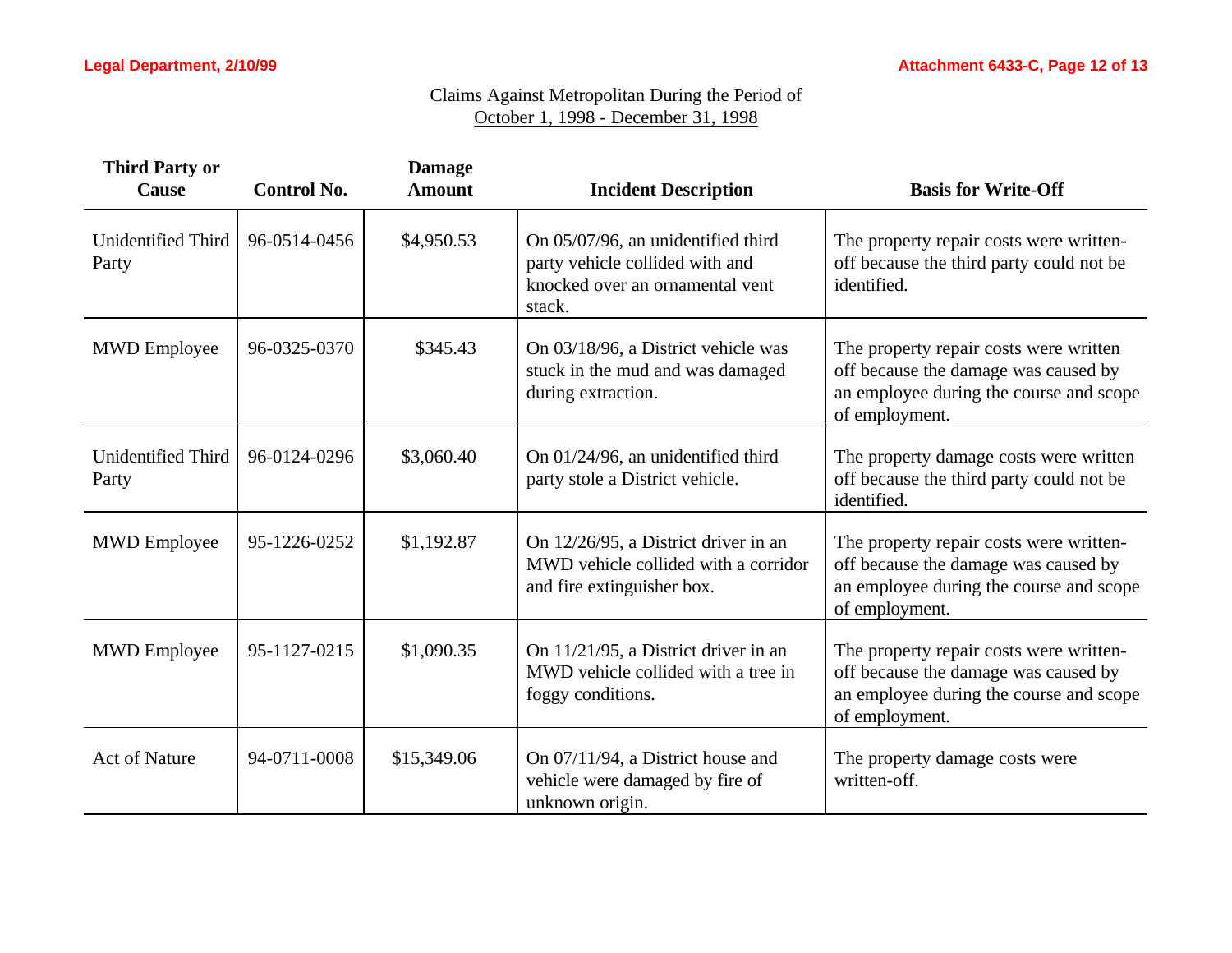| <b>Third Party or</b><br>Cause     | <b>Control No.</b> | <b>Damage</b><br><b>Amount</b> | <b>Incident Description</b>                                                                                        | <b>Basis for Write-Off</b>                                                                                                                   |
|------------------------------------|--------------------|--------------------------------|--------------------------------------------------------------------------------------------------------------------|----------------------------------------------------------------------------------------------------------------------------------------------|
| Unidentified Third<br>Party        | 96-0514-0456       | \$4,950.53                     | On 05/07/96, an unidentified third<br>party vehicle collided with and<br>knocked over an ornamental vent<br>stack. | The property repair costs were written-<br>off because the third party could not be<br>identified.                                           |
| <b>MWD</b> Employee                | 96-0325-0370       | \$345.43                       | On 03/18/96, a District vehicle was<br>stuck in the mud and was damaged<br>during extraction.                      | The property repair costs were written<br>off because the damage was caused by<br>an employee during the course and scope<br>of employment.  |
| <b>Unidentified Third</b><br>Party | 96-0124-0296       | \$3,060.40                     | On 01/24/96, an unidentified third<br>party stole a District vehicle.                                              | The property damage costs were written<br>off because the third party could not be<br>identified.                                            |
| <b>MWD</b> Employee                | 95-1226-0252       | \$1,192.87                     | On 12/26/95, a District driver in an<br>MWD vehicle collided with a corridor<br>and fire extinguisher box.         | The property repair costs were written-<br>off because the damage was caused by<br>an employee during the course and scope<br>of employment. |
| <b>MWD</b> Employee                | 95-1127-0215       | \$1,090.35                     | On 11/21/95, a District driver in an<br>MWD vehicle collided with a tree in<br>foggy conditions.                   | The property repair costs were written-<br>off because the damage was caused by<br>an employee during the course and scope<br>of employment. |
| <b>Act of Nature</b>               | 94-0711-0008       | \$15,349.06                    | On 07/11/94, a District house and<br>vehicle were damaged by fire of<br>unknown origin.                            | The property damage costs were<br>written-off.                                                                                               |